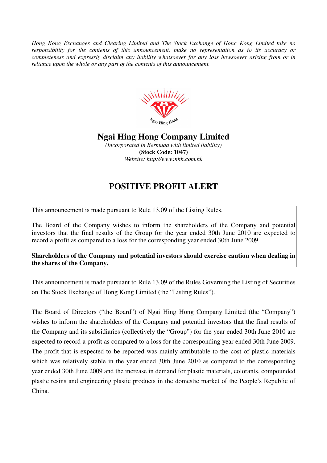*Hong Kong Exchanges and Clearing Limited and The Stock Exchange of Hong Kong Limited take no responsibility for the contents of this announcement, make no representation as to its accuracy or completeness and expressly disclaim any liability whatsoever for any loss howsoever arising from or in reliance upon the whole or any part of the contents of this announcement.* 



## **Ngai Hing Hong Company Limited**

*(Incorporated in Bermuda with limited liability)*  **(Stock Code: 1047)**  *Website: http://www.nhh.com.hk* 

## **POSITIVE PROFIT ALERT**

This announcement is made pursuant to Rule 13.09 of the Listing Rules.

The Board of the Company wishes to inform the shareholders of the Company and potential investors that the final results of the Group for the year ended 30th June 2010 are expected to record a profit as compared to a loss for the corresponding year ended 30th June 2009.

**Shareholders of the Company and potential investors should exercise caution when dealing in the shares of the Company.** 

This announcement is made pursuant to Rule 13.09 of the Rules Governing the Listing of Securities on The Stock Exchange of Hong Kong Limited (the "Listing Rules").

The Board of Directors ("the Board") of Ngai Hing Hong Company Limited (the "Company") wishes to inform the shareholders of the Company and potential investors that the final results of the Company and its subsidiaries (collectively the "Group") for the year ended 30th June 2010 are expected to record a profit as compared to a loss for the corresponding year ended 30th June 2009. The profit that is expected to be reported was mainly attributable to the cost of plastic materials which was relatively stable in the year ended 30th June 2010 as compared to the corresponding year ended 30th June 2009 and the increase in demand for plastic materials, colorants, compounded plastic resins and engineering plastic products in the domestic market of the People's Republic of China.